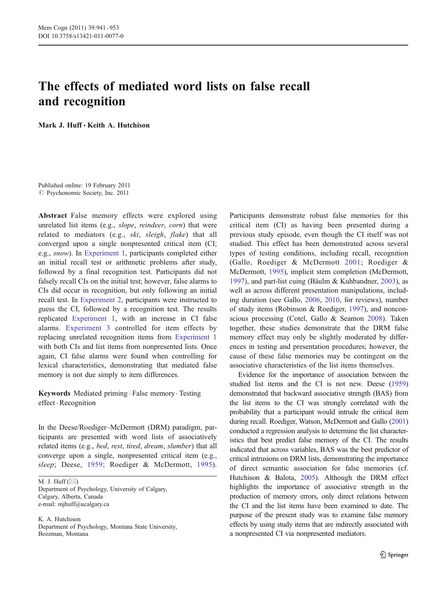# The effects of mediated word lists on false recall and recognition

Mark J. Huff · Keith A. Hutchison

Published online: 19 February 2011  $\odot$  Psychonomic Society, Inc. 2011

Abstract False memory effects were explored using unrelated list items (e.g., slope, reindeer, corn) that were related to mediators (e.g., ski, sleigh, flake) that all converged upon a single nonpresented critical item (CI; e.g., snow). In [Experiment 1,](#page-2-0) participants completed either an initial recall test or arithmetic problems after study, followed by a final recognition test. Participants did not falsely recall CIs on the initial test; however, false alarms to CIs did occur in recognition, but only following an initial recall test. In [Experiment 2,](#page-4-0) participants were instructed to guess the CI, followed by a recognition test. The results replicated [Experiment 1,](#page-2-0) with an increase in CI false alarms. [Experiment 3](#page-6-0) controlled for item effects by replacing unrelated recognition items from [Experiment 1](#page-2-0) with both CIs and list items from nonpresented lists. Once again, CI false alarms were found when controlling for lexical characteristics, demonstrating that mediated false memory is not due simply to item differences.

Keywords Mediated priming . False memory . Testing effect . Recognition

In the Deese/Roediger–McDermott (DRM) paradigm, participants are presented with word lists of associatively related items (e.g., bed, rest, tired, dream, slumber) that all converge upon a single, nonpresented critical item (e.g., sleep; Deese, [1959;](#page-12-0) Roediger & McDermott, [1995](#page-12-0)).

M. J. Huff $(\boxtimes)$ Department of Psychology, University of Calgary, Calgary, Alberta, Canada e-mail: mjhuff@ucalgary.ca

K. A. Hutchison Department of Psychology, Montana State University, Bozeman, Montana

Participants demonstrate robust false memories for this critical item (CI) as having been presented during a previous study episode, even though the CI itself was not studied. This effect has been demonstrated across several types of testing conditions, including recall, recognition (Gallo, Roediger & McDermott [2001;](#page-12-0) Roediger & McDermott, [1995](#page-12-0)), implicit stem completion (McDermott, [1997](#page-12-0)), and part-list cuing (Bäulm & Kuhbandner, [2003](#page-11-0)), as well as across different presentation manipulations, including duration (see Gallo, [2006,](#page-12-0) [2010,](#page-12-0) for reviews), number of study items (Robinson & Roediger, [1997\)](#page-12-0), and nonconscious processing (Cotel, Gallo & Seamon [2008\)](#page-12-0). Taken together, these studies demonstrate that the DRM false memory effect may only be slightly moderated by differences in testing and presentation procedures; however, the cause of these false memories may be contingent on the associative characteristics of the list items themselves.

Evidence for the importance of association between the studied list items and the CI is not new. Deese ([1959](#page-12-0)) demonstrated that backward associative strength (BAS) from the list items to the CI was strongly correlated with the probability that a participant would intrude the critical item during recall. Roediger, Watson, McDermott and Gallo [\(2001](#page-12-0)) conducted a regression analysis to determine the list characteristics that best predict false memory of the CI. The results indicated that across variables, BAS was the best predictor of critical intrusions on DRM lists, demonstrating the importance of direct semantic association for false memories (cf. Hutchison & Balota, [2005](#page-12-0)). Although the DRM effect highlights the importance of associative strength in the production of memory errors, only direct relations between the CI and the list items have been examined to date. The purpose of the present study was to examine false memory effects by using study items that are indirectly associated with a nonpresented CI via nonpresented mediators.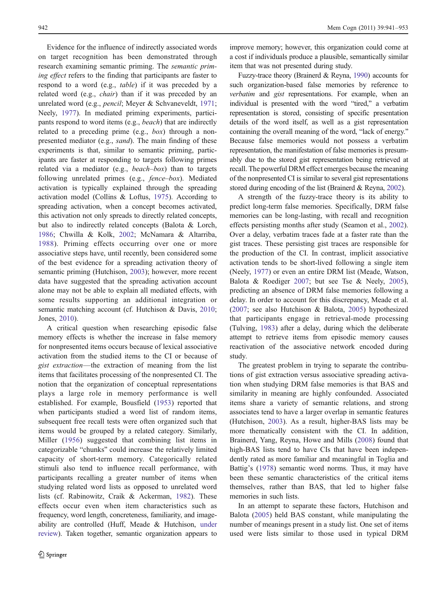Evidence for the influence of indirectly associated words on target recognition has been demonstrated through research examining semantic priming. The semantic priming effect refers to the finding that participants are faster to respond to a word (e.g., table) if it was preceded by a related word (e.g., *chair*) than if it was preceded by an unrelated word (e.g., pencil; Meyer & Schvaneveldt, [1971](#page-12-0); Neely, [1977\)](#page-12-0). In mediated priming experiments, participants respond to word items (e.g., beach) that are indirectly related to a preceding prime (e.g., box) through a nonpresented mediator (e.g., sand). The main finding of these experiments is that, similar to semantic priming, participants are faster at responding to targets following primes related via a mediator (e.g.,  $beach-box$ ) than to targets following unrelated primes (e.g., *fence–box*). Mediated activation is typically explained through the spreading activation model (Collins & Loftus, [1975\)](#page-12-0). According to spreading activation, when a concept becomes activated, this activation not only spreads to directly related concepts, but also to indirectly related concepts (Balota & Lorch, [1986;](#page-11-0) Chwilla & Kolk, [2002;](#page-12-0) McNamara & Altarriba, [1988](#page-12-0)). Priming effects occurring over one or more associative steps have, until recently, been considered some of the best evidence for a spreading activation theory of semantic priming (Hutchison, [2003](#page-12-0)); however, more recent data have suggested that the spreading activation account alone may not be able to explain all mediated effects, with some results supporting an additional integration or semantic matching account (cf. Hutchison & Davis, [2010](#page-12-0); Jones, [2010\)](#page-12-0).

A critical question when researching episodic false memory effects is whether the increase in false memory for nonpresented items occurs because of lexical associative activation from the studied items to the CI or because of gist extraction—the extraction of meaning from the list items that facilitates processing of the nonpresented CI. The notion that the organization of conceptual representations plays a large role in memory performance is well established. For example, Bousfield [\(1953](#page-11-0)) reported that when participants studied a word list of random items, subsequent free recall tests were often organized such that items would be grouped by a related category. Similarly, Miller ([1956](#page-12-0)) suggested that combining list items in categorizable "chunks" could increase the relatively limited capacity of short-term memory. Categorically related stimuli also tend to influence recall performance, with participants recalling a greater number of items when studying related word lists as opposed to unrelated word lists (cf. Rabinowitz, Craik & Ackerman, [1982](#page-12-0)). These effects occur even when item characteristics such as frequency, word length, concreteness, familiarity, and imageability are controlled (Huff, Meade & Hutchison, [under](#page-12-0) [review](#page-12-0)). Taken together, semantic organization appears to

improve memory; however, this organization could come at a cost if individuals produce a plausible, semantically similar item that was not presented during study.

Fuzzy-trace theory (Brainerd & Reyna, [1990\)](#page-11-0) accounts for such organization-based false memories by reference to verbatim and gist representations. For example, when an individual is presented with the word "tired," a verbatim representation is stored, consisting of specific presentation details of the word itself, as well as a gist representation containing the overall meaning of the word, "lack of energy." Because false memories would not possess a verbatim representation, the manifestation of false memories is presumably due to the stored gist representation being retrieved at recall. The powerful DRM effect emerges because the meaning of the nonpresented CI is similar to several gist representations stored during encoding of the list (Brainerd & Reyna, [2002\)](#page-11-0).

A strength of the fuzzy-trace theory is its ability to predict long-term false memories. Specifically, DRM false memories can be long-lasting, with recall and recognition effects persisting months after study (Seamon et al., [2002\)](#page-12-0). Over a delay, verbatim traces fade at a faster rate than the gist traces. These persisting gist traces are responsible for the production of the CI. In contrast, implicit associative activation tends to be short-lived following a single item (Neely, [1977\)](#page-12-0) or even an entire DRM list (Meade, Watson, Balota & Roediger [2007;](#page-12-0) but see Tse & Neely, [2005\)](#page-12-0), predicting an absence of DRM false memories following a delay. In order to account for this discrepancy, Meade et al. [\(2007](#page-12-0); see also Hutchison & Balota, [2005](#page-12-0)) hypothesized that participants engage in retrieval-mode processing (Tulving, [1983\)](#page-12-0) after a delay, during which the deliberate attempt to retrieve items from episodic memory causes reactivation of the associative network encoded during study.

The greatest problem in trying to separate the contributions of gist extraction versus associative spreading activation when studying DRM false memories is that BAS and similarity in meaning are highly confounded. Associated items share a variety of semantic relations, and strong associates tend to have a larger overlap in semantic features (Hutchison, [2003](#page-12-0)). As a result, higher-BAS lists may be more thematically consistent with the CI. In addition, Brainerd, Yang, Reyna, Howe and Mills [\(2008](#page-12-0)) found that high-BAS lists tend to have CIs that have been independently rated as more familiar and meaningful in Toglia and Battig's ([1978\)](#page-12-0) semantic word norms. Thus, it may have been these semantic characteristics of the critical items themselves, rather than BAS, that led to higher false memories in such lists.

In an attempt to separate these factors, Hutchison and Balota [\(2005](#page-12-0)) held BAS constant, while manipulating the number of meanings present in a study list. One set of items used were lists similar to those used in typical DRM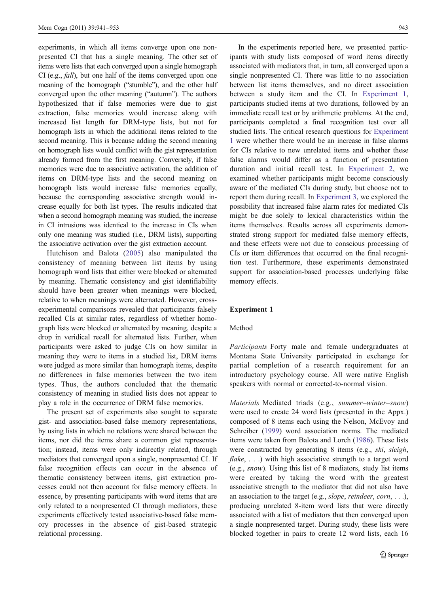<span id="page-2-0"></span>experiments, in which all items converge upon one nonpresented CI that has a single meaning. The other set of items were lists that each converged upon a single homograph CI (e.g., fall), but one half of the items converged upon one meaning of the homograph ("stumble"), and the other half converged upon the other meaning ("autumn"). The authors hypothesized that if false memories were due to gist extraction, false memories would increase along with increased list length for DRM-type lists, but not for homograph lists in which the additional items related to the second meaning. This is because adding the second meaning on homograph lists would conflict with the gist representation already formed from the first meaning. Conversely, if false memories were due to associative activation, the addition of items on DRM-type lists and the second meaning on homograph lists would increase false memories equally, because the corresponding associative strength would increase equally for both list types. The results indicated that when a second homograph meaning was studied, the increase in CI intrusions was identical to the increase in CIs when only one meaning was studied (i.e., DRM lists), supporting the associative activation over the gist extraction account.

Hutchison and Balota ([2005](#page-12-0)) also manipulated the consistency of meaning between list items by using homograph word lists that either were blocked or alternated by meaning. Thematic consistency and gist identifiability should have been greater when meanings were blocked, relative to when meanings were alternated. However, crossexperimental comparisons revealed that participants falsely recalled CIs at similar rates, regardless of whether homograph lists were blocked or alternated by meaning, despite a drop in veridical recall for alternated lists. Further, when participants were asked to judge CIs on how similar in meaning they were to items in a studied list, DRM items were judged as more similar than homograph items, despite no differences in false memories between the two item types. Thus, the authors concluded that the thematic consistency of meaning in studied lists does not appear to play a role in the occurrence of DRM false memories.

The present set of experiments also sought to separate gist- and association-based false memory representations, by using lists in which no relations were shared between the items, nor did the items share a common gist representation; instead, items were only indirectly related, through mediators that converged upon a single, nonpresented CI. If false recognition effects can occur in the absence of thematic consistency between items, gist extraction processes could not then account for false memory effects. In essence, by presenting participants with word items that are only related to a nonpresented CI through mediators, these experiments effectively tested associative-based false memory processes in the absence of gist-based strategic relational processing.

In the experiments reported here, we presented participants with study lists composed of word items directly associated with mediators that, in turn, all converged upon a single nonpresented CI. There was little to no association between list items themselves, and no direct association between a study item and the CI. In Experiment 1, participants studied items at two durations, followed by an immediate recall test or by arithmetic problems. At the end, participants completed a final recognition test over all studied lists. The critical research questions for Experiment 1 were whether there would be an increase in false alarms for CIs relative to new unrelated items and whether these false alarms would differ as a function of presentation duration and initial recall test. In [Experiment 2,](#page-4-0) we examined whether participants might become consciously aware of the mediated CIs during study, but choose not to report them during recall. In [Experiment 3](#page-6-0), we explored the possibility that increased false alarm rates for mediated CIs might be due solely to lexical characteristics within the items themselves. Results across all experiments demonstrated strong support for mediated false memory effects, and these effects were not due to conscious processing of CIs or item differences that occurred on the final recognition test. Furthermore, these experiments demonstrated support for association-based processes underlying false memory effects.

### Experiment 1

### Method

Participants Forty male and female undergraduates at Montana State University participated in exchange for partial completion of a research requirement for an introductory psychology course. All were native English speakers with normal or corrected-to-normal vision.

Materials Mediated triads (e.g., summer–winter–snow) were used to create 24 word lists (presented in the Appx.) composed of 8 items each using the Nelson, McEvoy and Schreiber [\(1999](#page-12-0)) word association norms. The mediated items were taken from Balota and Lorch ([1986\)](#page-11-0). These lists were constructed by generating 8 items (e.g., ski, sleigh, *flake*, ...) with high associative strength to a target word (e.g., snow). Using this list of 8 mediators, study list items were created by taking the word with the greatest associative strength to the mediator that did not also have an association to the target (e.g., *slope*, *reindeer*, *corn*,  $\dots$  ), producing unrelated 8-item word lists that were directly associated with a list of mediators that then converged upon a single nonpresented target. During study, these lists were blocked together in pairs to create 12 word lists, each 16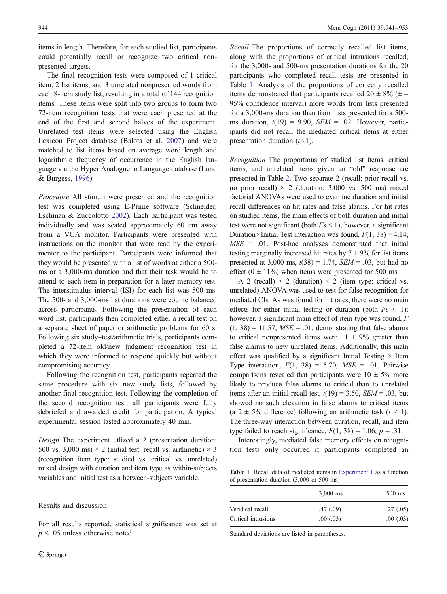items in length. Therefore, for each studied list, participants could potentially recall or recognize two critical nonpresented targets.

The final recognition tests were composed of 1 critical item, 2 list items, and 3 unrelated nonpresented words from each 8-item study list, resulting in a total of 144 recognition items. These items were split into two groups to form two 72-item recognition tests that were each presented at the end of the first and second halves of the experiment. Unrelated test items were selected using the English Lexicon Project database (Balota et al. [2007](#page-11-0)) and were matched to list items based on average word length and logarithmic frequency of occurrence in the English language via the Hyper Analogue to Language database (Lund & Burgess, [1996\)](#page-12-0).

Procedure All stimuli were presented and the recognition test was completed using E-Prime software (Schneider, Eschman & Zuccolotto [2002\)](#page-12-0). Each participant was tested individually and was seated approximately 60 cm away from a VGA monitor. Participants were presented with instructions on the monitor that were read by the experimenter to the participant. Participants were informed that they would be presented with a list of words at either a 500 ms or a 3,000-ms duration and that their task would be to attend to each item in preparation for a later memory test. The interstimulus interval (ISI) for each list was 500 ms. The 500- and 3,000-ms list durations were counterbalanced across participants. Following the presentation of each word list, participants then completed either a recall test on a separate sheet of paper or arithmetic problems for 60 s. Following six study–test/arithmetic trials, participants completed a 72-item old/new judgment recognition test in which they were informed to respond quickly but without compromising accuracy.

Following the recognition test, participants repeated the same procedure with six new study lists, followed by another final recognition test. Following the completion of the second recognition test, all participants were fully debriefed and awarded credit for participation. A typical experimental session lasted approximately 40 min.

Design The experiment utlized a 2 (presentation duration: 500 vs. 3,000 ms)  $\times$  2 (initial test: recall vs. arithmetic)  $\times$  3 (recognition item type: studied vs. critical vs. unrelated) mixed design with duration and item type as within-subjects variables and initial test as a between-subjects variable.

# Results and discussion

For all results reported, statistical significance was set at  $p \leq 0.05$  unless otherwise noted.

Recall The proportions of correctly recalled list items, along with the proportions of critical intrusions recalled, for the 3,000- and 500-ms presentation durations for the 20 participants who completed recall tests are presented in Table 1. Analysis of the proportions of correctly recalled items demonstrated that participants recalled  $20 \pm 8\%$  ( $\pm$  = 95% confidence interval) more words from lists presented for a 3,000-ms duration than from lists presented for a 500 ms duration,  $t(19) = 9.90$ ,  $SEM = .02$ . However, participants did not recall the mediated critical items at either presentation duration  $(t<1)$ .

Recognition The proportions of studied list items, critical items, and unrelated items given an "old" response are presented in Table [2.](#page-4-0) Two separate 2 (recall: prior recall vs. no prior recall)  $\times$  2 (duration: 3,000 vs. 500 ms) mixed factorial ANOVAs were used to examine duration and initial recall differences on hit rates and false alarms. For hit rates on studied items, the main effects of both duration and initial test were not significant (both  $Fs < 1$ ); however, a significant Duration×Initial Test interaction was found,  $F(1, 38) = 4.14$ ,  $MSE = .01$ . Post-hoc analyses demonstrated that initial testing marginally increased hit rates by  $7 \pm 9\%$  for list items presented at 3,000 ms,  $t(38) = 1.74$ ,  $SEM = .03$ , but had no effect  $(0 \pm 11\%)$  when items were presented for 500 ms.

A 2 (recall)  $\times$  2 (duration)  $\times$  2 (item type: critical vs. unrelated) ANOVA was used to test for false recognition for mediated CIs. As was found for hit rates, there were no main effects for either initial testing or duration (both  $Fs < 1$ ); however, a significant main effect of item type was found, F  $(1, 38) = 11.57$ ,  $MSE = .01$ , demonstrating that false alarms to critical nonpresented items were  $11 \pm 9\%$  greater than false alarms to new unrelated items. Additionally, this main effect was qualified by a significant Initial Testing  $\times$  Item Type interaction,  $F(1, 38) = 5.70$ ,  $MSE = .01$ . Pairwise comparisons revealed that participants were  $10 \pm 5\%$  more likely to produce false alarms to critical than to unrelated items after an initial recall test,  $t(19) = 3.50$ ,  $SEM = .03$ , but showed no such elevation in false alarms to critical items (a  $2 \pm 5\%$  difference) following an arithmetic task ( $t < 1$ ). The three-way interaction between duration, recall, and item type failed to reach significance,  $F(1, 38) = 1.06$ ,  $p = .31$ .

Interestingly, mediated false memory effects on recognition tests only occurred if participants completed an

Table 1 Recall data of mediated items in [Experiment 1](#page-2-0) as a function of presentation duration (3,000 or 500 ms)

|                     | $3,000$ ms | $500$ ms  |
|---------------------|------------|-----------|
| Veridical recall    | .47(0.09)  | .27(0.05) |
| Critical intrusions | .00(0.03)  | .00(0.03) |

Standard deviations are listed in parentheses.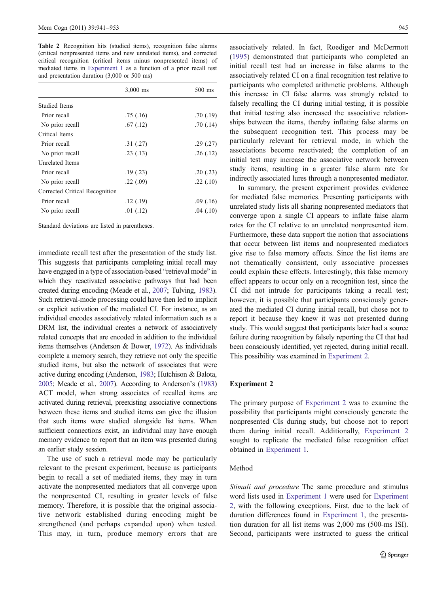<span id="page-4-0"></span>Table 2 Recognition hits (studied items), recognition false alarms (critical nonpresented items and new unrelated items), and corrected critical recognition (critical items minus nonpresented items) of mediated items in [Experiment 1](#page-2-0) as a function of a prior recall test and presentation duration (3,000 or 500 ms)

|                                | $3,000$ ms | 500 ms    |
|--------------------------------|------------|-----------|
| Studied Items                  |            |           |
| Prior recall                   | .75(0.16)  | .70(0.19) |
| No prior recall                | .67(.12)   | .70(0.14) |
| Critical Items                 |            |           |
| Prior recall                   | .31(.27)   | .29(.27)  |
| No prior recall                | .23(.13)   | .26(.12)  |
| Unrelated Items                |            |           |
| Prior recall                   | .19(.23)   | .20(0.23) |
| No prior recall                | .22(.09)   | .22(.10)  |
| Corrected Critical Recognition |            |           |
| Prior recall                   | .12(.19)   | .09(0.16) |
| No prior recall                | .01(.12)   | .04(.10)  |

Standard deviations are listed in parentheses.

immediate recall test after the presentation of the study list. This suggests that participants completing initial recall may have engaged in a type of association-based "retrieval mode" in which they reactivated associative pathways that had been created during encoding (Meade et al., [2007](#page-12-0); Tulving, [1983\)](#page-12-0). Such retrieval-mode processing could have then led to implicit or explicit activation of the mediated CI. For instance, as an individual encodes associatively related information such as a DRM list, the individual creates a network of associatively related concepts that are encoded in addition to the individual items themselves (Anderson & Bower, [1972](#page-11-0)). As individuals complete a memory search, they retrieve not only the specific studied items, but also the network of associates that were active during encoding (Anderson, [1983](#page-11-0); Hutchison & Balota, [2005](#page-12-0); Meade et al., [2007\)](#page-12-0). According to Anderson's ([1983\)](#page-11-0) ACT model, when strong associates of recalled items are activated during retrieval, preexisting associative connections between these items and studied items can give the illusion that such items were studied alongside list items. When sufficient connections exist, an individual may have enough memory evidence to report that an item was presented during an earlier study session.

The use of such a retrieval mode may be particularly relevant to the present experiment, because as participants begin to recall a set of mediated items, they may in turn activate the nonpresented mediators that all converge upon the nonpresented CI, resulting in greater levels of false memory. Therefore, it is possible that the original associative network established during encoding might be strengthened (and perhaps expanded upon) when tested. This may, in turn, produce memory errors that are

associatively related. In fact, Roediger and McDermott [\(1995](#page-12-0)) demonstrated that participants who completed an initial recall test had an increase in false alarms to the associatively related CI on a final recognition test relative to participants who completed arithmetic problems. Although this increase in CI false alarms was strongly related to falsely recalling the CI during initial testing, it is possible that initial testing also increased the associative relationships between the items, thereby inflating false alarms on the subsequent recognition test. This process may be particularly relevant for retrieval mode, in which the associations become reactivated; the completion of an initial test may increase the associative network between study items, resulting in a greater false alarm rate for indirectly associated lures through a nonpresented mediator.

In summary, the present experiment provides evidence for mediated false memories. Presenting participants with unrelated study lists all sharing nonpresented mediators that converge upon a single CI appears to inflate false alarm rates for the CI relative to an unrelated nonpresented item. Furthermore, these data support the notion that associations that occur between list items and nonpresented mediators give rise to false memory effects. Since the list items are not thematically consistent, only associative processes could explain these effects. Interestingly, this false memory effect appears to occur only on a recognition test, since the CI did not intrude for participants taking a recall test; however, it is possible that participants consciously generated the mediated CI during initial recall, but chose not to report it because they knew it was not presented during study. This would suggest that participants later had a source failure during recognition by falsely reporting the CI that had been consciously identified, yet rejected, during initial recall. This possibility was examined in Experiment 2.

# Experiment 2

The primary purpose of Experiment 2 was to examine the possibility that participants might consciously generate the nonpresented CIs during study, but choose not to report them during initial recall. Additionally, Experiment 2 sought to replicate the mediated false recognition effect obtained in [Experiment 1.](#page-2-0)

# Method

Stimuli and procedure The same procedure and stimulus word lists used in [Experiment 1](#page-2-0) were used for Experiment 2, with the following exceptions. First, due to the lack of duration differences found in [Experiment 1](#page-2-0), the presentation duration for all list items was 2,000 ms (500-ms ISI). Second, participants were instructed to guess the critical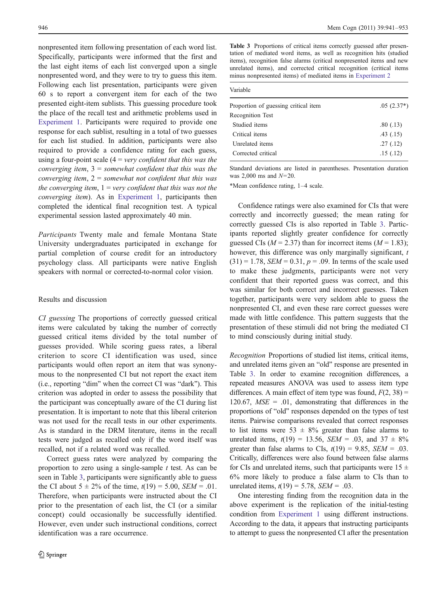nonpresented item following presentation of each word list. Specifically, participants were informed that the first and the last eight items of each list converged upon a single nonpresented word, and they were to try to guess this item. Following each list presentation, participants were given 60 s to report a convergent item for each of the two presented eight-item sublists. This guessing procedure took the place of the recall test and arithmetic problems used in [Experiment 1.](#page-2-0) Participants were required to provide one response for each sublist, resulting in a total of two guesses for each list studied. In addition, participants were also required to provide a confidence rating for each guess, using a four-point scale  $(4 = very confident that this was the$ converging item,  $3 =$  somewhat confident that this was the converging item,  $2 =$  somewhat not confident that this was the converging item,  $1=$  very confident that this was not the converging item). As in [Experiment 1](#page-2-0), participants then completed the identical final recognition test. A typical experimental session lasted approximately 40 min.

Participants Twenty male and female Montana State University undergraduates participated in exchange for partial completion of course credit for an introductory psychology class. All participants were native English speakers with normal or corrected-to-normal color vision.

# Results and discussion

CI guessing The proportions of correctly guessed critical items were calculated by taking the number of correctly guessed critical items divided by the total number of guesses provided. While scoring guess rates, a liberal criterion to score CI identification was used, since participants would often report an item that was synonymous to the nonpresented CI but not report the exact item (i.e., reporting "dim" when the correct CI was "dark"). This criterion was adopted in order to assess the possibility that the participant was conceptually aware of the CI during list presentation. It is important to note that this liberal criterion was not used for the recall tests in our other experiments. As is standard in the DRM literature, items in the recall tests were judged as recalled only if the word itself was recalled, not if a related word was recalled.

Correct guess rates were analyzed by comparing the proportion to zero using a single-sample  $t$  test. As can be seen in Table 3, participants were significantly able to guess the CI about  $5 \pm 2\%$  of the time,  $t(19) = 5.00$ ,  $SEM = .01$ . Therefore, when participants were instructed about the CI prior to the presentation of each list, the CI (or a similar concept) could occasionally be successfully identified. However, even under such instructional conditions, correct identification was a rare occurrence.

Table 3 Proportions of critical items correctly guessed after presentation of mediated word items, as well as recognition hits (studied items), recognition false alarms (critical nonpresented items and new unrelated items), and corrected critical recognition (critical items minus nonpresented items) of mediated items in [Experiment 2](#page-4-0)

| Variable                             |              |
|--------------------------------------|--------------|
| Proportion of guessing critical item | $.05(2.37*)$ |
| Recognition Test                     |              |
| Studied items                        | .80(0.13)    |
| Critical items                       | .43(.15)     |
| Unrelated items                      | .27(.12)     |
| Corrected critical                   | .15(.12)     |
|                                      |              |

Standard deviations are listed in parentheses. Presentation duration was  $2,000$  ms and  $N=20$ .

\*Mean confidence rating, 1–4 scale.

Confidence ratings were also examined for CIs that were correctly and incorrectly guessed; the mean rating for correctly guessed CIs is also reported in Table 3. Participants reported slightly greater confidence for correctly guessed CIs ( $M = 2.37$ ) than for incorrect items ( $M = 1.83$ ); however, this difference was only marginally significant,  $t$  $(31) = 1.78$ ,  $SEM = 0.31$ ,  $p = .09$ . In terms of the scale used to make these judgments, participants were not very confident that their reported guess was correct, and this was similar for both correct and incorrect guesses. Taken together, participants were very seldom able to guess the nonpresented CI, and even these rare correct guesses were made with little confidence. This pattern suggests that the presentation of these stimuli did not bring the mediated CI to mind consciously during initial study.

Recognition Proportions of studied list items, critical items, and unrelated items given an "old" response are presented in Table 3. In order to examine recognition differences, a repeated measures ANOVA was used to assess item type differences. A main effect of item type was found,  $F(2, 38) =$ 120.67,  $MSE = .01$ , demonstrating that differences in the proportions of "old" responses depended on the types of test items. Pairwise comparisons revealed that correct responses to list items were  $53 \pm 8\%$  greater than false alarms to unrelated items,  $t(19) = 13.56$ ,  $SEM = .03$ , and  $37 \pm 8\%$ greater than false alarms to CIs,  $t(19) = 9.85$ ,  $SEM = .03$ . Critically, differences were also found between false alarms for CIs and unrelated items, such that participants were  $15 \pm$ 6% more likely to produce a false alarm to CIs than to unrelated items,  $t(19) = 5.78$ ,  $SEM = .03$ .

One interesting finding from the recognition data in the above experiment is the replication of the initial-testing condition from [Experiment 1](#page-2-0) using different instructions. According to the data, it appears that instructing participants to attempt to guess the nonpresented CI after the presentation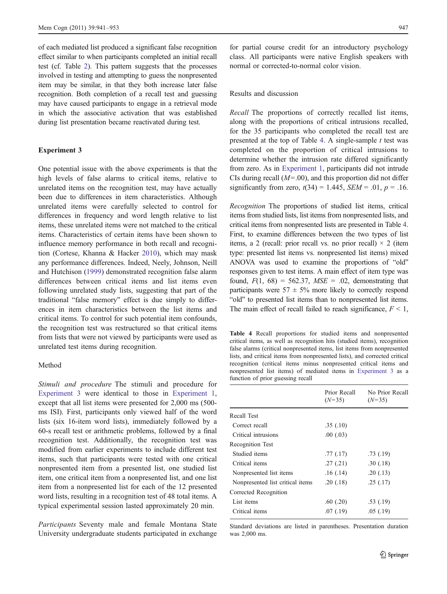<span id="page-6-0"></span>of each mediated list produced a significant false recognition effect similar to when participants completed an initial recall test (cf. Table [2\)](#page-4-0). This pattern suggests that the processes involved in testing and attempting to guess the nonpresented item may be similar, in that they both increase later false recognition. Both completion of a recall test and guessing may have caused participants to engage in a retrieval mode in which the associative activation that was established during list presentation became reactivated during test.

### Experiment 3

One potential issue with the above experiments is that the high levels of false alarms to critical items, relative to unrelated items on the recognition test, may have actually been due to differences in item characteristics. Although unrelated items were carefully selected to control for differences in frequency and word length relative to list items, these unrelated items were not matched to the critical items. Characteristics of certain items have been shown to influence memory performance in both recall and recognition (Cortese, Khanna & Hacker [2010](#page-12-0)), which may mask any performance differences. Indeed, Neely, Johnson, Neill and Hutchison [\(1999](#page-12-0)) demonstrated recognition false alarm differences between critical items and list items even following unrelated study lists, suggesting that part of the traditional "false memory" effect is due simply to differences in item characteristics between the list items and critical items. To control for such potential item confounds, the recognition test was restructured so that critical items from lists that were not viewed by participants were used as unrelated test items during recognition.

# Method

Stimuli and procedure The stimuli and procedure for Experiment 3 were identical to those in [Experiment 1,](#page-2-0) except that all list items were presented for 2,000 ms (500 ms ISI). First, participants only viewed half of the word lists (six 16-item word lists), immediately followed by a 60-s recall test or arithmetic problems, followed by a final recognition test. Additionally, the recognition test was modified from earlier experiments to include different test items, such that participants were tested with one critical nonpresented item from a presented list, one studied list item, one critical item from a nonpresented list, and one list item from a nonpresented list for each of the 12 presented word lists, resulting in a recognition test of 48 total items. A typical experimental session lasted approximately 20 min.

Participants Seventy male and female Montana State University undergraduate students participated in exchange

for partial course credit for an introductory psychology class. All participants were native English speakers with normal or corrected-to-normal color vision.

#### Results and discussion

Recall The proportions of correctly recalled list items, along with the proportions of critical intrusions recalled, for the 35 participants who completed the recall test are presented at the top of Table 4. A single-sample  $t$  test was completed on the proportion of critical intrusions to determine whether the intrusion rate differed significantly from zero. As in [Experiment 1](#page-2-0), participants did not intrude CIs during recall  $(M=0.00)$ , and this proportion did not differ significantly from zero,  $t(34) = 1.445$ ,  $SEM = .01$ ,  $p = .16$ .

Recognition The proportions of studied list items, critical items from studied lists, list items from nonpresented lists, and critical items from nonpresented lists are presented in Table 4. First, to examine differences between the two types of list items, a 2 (recall: prior recall vs. no prior recall)  $\times$  2 (item type: presented list items vs. nonpresented list items) mixed ANOVA was used to examine the proportions of "old" responses given to test items. A main effect of item type was found,  $F(1, 68) = 562.37$ ,  $MSE = .02$ , demonstrating that participants were  $57 \pm 5\%$  more likely to correctly respond "old" to presented list items than to nonpresented list items. The main effect of recall failed to reach significance,  $F \leq 1$ ,

Table 4 Recall proportions for studied items and nonpresented critical items, as well as recognition hits (studied items), recognition false alarms (critical nonpresented items, list items from nonpresented lists, and critical items from nonpresented lists), and corrected critical recognition (critical items minus nonpresented critical items and nonpresented list items) of mediated items in Experiment 3 as a function of prior guessing recall

|                                  | Prior Recall<br>$(N=35)$ | No Prior Recall<br>$(N=35)$ |
|----------------------------------|--------------------------|-----------------------------|
| Recall Test                      |                          |                             |
| Correct recall                   | .35(.10)                 |                             |
| Critical intrusions              | .00(0.03)                |                             |
| Recognition Test                 |                          |                             |
| Studied items                    | .77(0.17)                | .73(.19)                    |
| Critical items                   | .27(.21)                 | .30(.18)                    |
| Nonpresented list items          | .16(0.14)                | .20(.13)                    |
| Nonpresented list critical items | .20(.18)                 | .25(.17)                    |
| Corrected Recognition            |                          |                             |
| List items                       | $.60$ $(.20)$            | .53(.19)                    |
| Critical items                   | .07(0.19)                | .05(.19)                    |
|                                  |                          |                             |

Standard deviations are listed in parentheses. Presentation duration was 2,000 ms.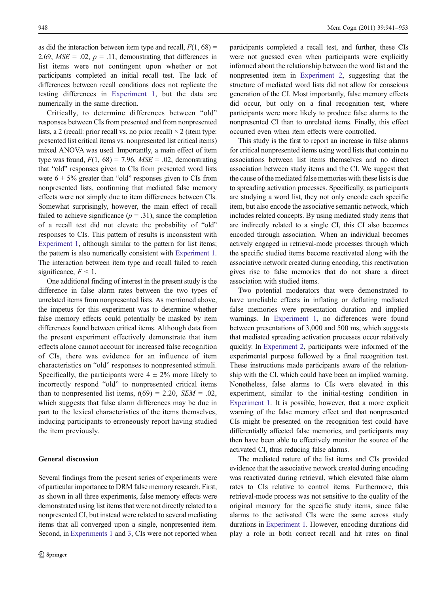as did the interaction between item type and recall,  $F(1, 68) =$ 2.69,  $MSE = .02$ ,  $p = .11$ , demonstrating that differences in list items were not contingent upon whether or not participants completed an initial recall test. The lack of differences between recall conditions does not replicate the testing differences in [Experiment 1,](#page-2-0) but the data are numerically in the same direction.

Critically, to determine differences between "old" responses between CIs from presented and from nonpresented lists, a 2 (recall: prior recall vs. no prior recall)  $\times$  2 (item type: presented list critical items vs. nonpresented list critical items) mixed ANOVA was used. Importantly, a main effect of item type was found,  $F(1, 68) = 7.96$ ,  $MSE = .02$ , demonstrating that "old" responses given to CIs from presented word lists were  $6 \pm 5\%$  greater than "old" responses given to CIs from nonpresented lists, confirming that mediated false memory effects were not simply due to item differences between CIs. Somewhat surprisingly, however, the main effect of recall failed to achieve significance ( $p = .31$ ), since the completion of a recall test did not elevate the probability of "old" responses to CIs. This pattern of results is inconsistent with [Experiment 1,](#page-2-0) although similar to the pattern for list items; the pattern is also numerically consistent with [Experiment 1.](#page-2-0) The interaction between item type and recall failed to reach significance,  $F < 1$ .

One additional finding of interest in the present study is the difference in false alarm rates between the two types of unrelated items from nonpresented lists. As mentioned above, the impetus for this experiment was to determine whether false memory effects could potentially be masked by item differences found between critical items. Although data from the present experiment effectively demonstrate that item effects alone cannot account for increased false recognition of CIs, there was evidence for an influence of item characteristics on "old" responses to nonpresented stimuli. Specifically, the participants were  $4 \pm 2\%$  more likely to incorrectly respond "old" to nonpresented critical items than to nonpresented list items,  $t(69) = 2.20$ ,  $SEM = .02$ , which suggests that false alarm differences may be due in part to the lexical characteristics of the items themselves, inducing participants to erroneously report having studied the item previously.

#### General discussion

Several findings from the present series of experiments were

participants completed a recall test, and further, these CIs were not guessed even when participants were explicitly informed about the relationship between the word list and the nonpresented item in [Experiment 2](#page-4-0), suggesting that the structure of mediated word lists did not allow for conscious generation of the CI. Most importantly, false memory effects did occur, but only on a final recognition test, where participants were more likely to produce false alarms to the nonpresented CI than to unrelated items. Finally, this effect occurred even when item effects were controlled.

This study is the first to report an increase in false alarms for critical nonpresented items using word lists that contain no associations between list items themselves and no direct association between study items and the CI. We suggest that the cause of the mediated false memories with these lists is due to spreading activation processes. Specifically, as participants are studying a word list, they not only encode each specific item, but also encode the associative semantic network, which includes related concepts. By using mediated study items that are indirectly related to a single CI, this CI also becomes encoded through association. When an individual becomes actively engaged in retrieval-mode processes through which the specific studied items become reactivated along with the associative network created during encoding, this reactivation gives rise to false memories that do not share a direct association with studied items.

Two potential moderators that were demonstrated to have unreliable effects in inflating or deflating mediated false memories were presentation duration and implied warnings. In [Experiment 1](#page-2-0), no differences were found between presentations of 3,000 and 500 ms, which suggests that mediated spreading activation processes occur relatively quickly. In [Experiment 2,](#page-4-0) participants were informed of the experimental purpose followed by a final recognition test. These instructions made participants aware of the relationship with the CI, which could have been an implied warning. Nonetheless, false alarms to CIs were elevated in this experiment, similar to the initial-testing condition in [Experiment 1](#page-2-0). It is possible, however, that a more explicit warning of the false memory effect and that nonpresented CIs might be presented on the recognition test could have differentially affected false memories, and participants may then have been able to effectively monitor the source of the activated CI, thus reducing false alarms.

The mediated nature of the list items and CIs provided evidence that the associative network created during encoding was reactivated during retrieval, which elevated false alarm rates to CIs relative to control items. Furthermore, this retrieval-mode process was not sensitive to the quality of the original memory for the specific study items, since false alarms to the activated CIs were the same across study durations in [Experiment 1.](#page-2-0) However, encoding durations did play a role in both correct recall and hit rates on final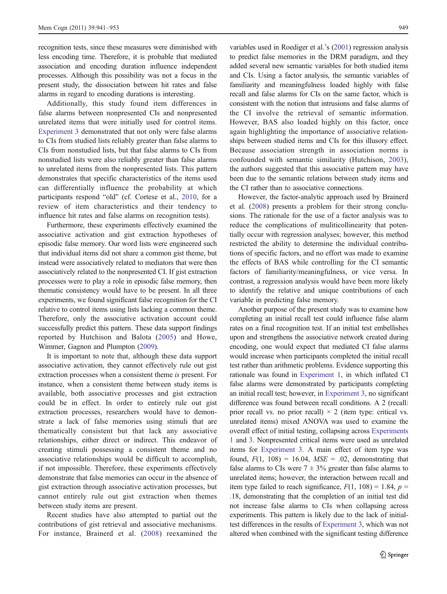recognition tests, since these measures were diminished with less encoding time. Therefore, it is probable that mediated association and encoding duration influence independent processes. Although this possibility was not a focus in the present study, the dissociation between hit rates and false alarms in regard to encoding durations is interesting.

Additionally, this study found item differences in false alarms between nonpresented CIs and nonpresented unrelated items that were initially used for control items. [Experiment 3](#page-6-0) demonstrated that not only were false alarms to CIs from studied lists reliably greater than false alarms to CIs from nonstudied lists, but that false alarms to CIs from nonstudied lists were also reliably greater than false alarms to unrelated items from the nonpresented lists. This pattern demonstrates that specific characteristics of the items used can differentially influence the probability at which participants respond "old" (cf. Cortese et al., [2010](#page-12-0), for a review of item characteristics and their tendency to influence hit rates and false alarms on recognition tests).

Furthermore, these experiments effectively examined the associative activation and gist extraction hypotheses of episodic false memory. Our word lists were engineered such that individual items did not share a common gist theme, but instead were associatively related to mediators that were then associatively related to the nonpresented CI. If gist extraction processes were to play a role in episodic false memory, then thematic consistency would have to be present. In all three experiments, we found significant false recognition for the CI relative to control items using lists lacking a common theme. Therefore, only the associative activation account could successfully predict this pattern. These data support findings reported by Hutchison and Balota ([2005](#page-12-0)) and Howe, Wimmer, Gagnon and Plumpton [\(2009\)](#page-12-0).

It is important to note that, although these data support associative activation, they cannot effectively rule out gist extraction processes when a consistent theme is present. For instance, when a consistent theme between study items is available, both associative processes and gist extraction could be in effect. In order to entirely rule out gist extraction processes, researchers would have to demonstrate a lack of false memories using stimuli that are thematically consistent but that lack any associative relationships, either direct or indirect. This endeavor of creating stimuli possessing a consistent theme and no associative relationships would be difficult to accomplish, if not impossible. Therefore, these experiments effectively demonstrate that false memories can occur in the absence of gist extraction through associative activation processes, but cannot entirely rule out gist extraction when themes between study items are present.

Recent studies have also attempted to partial out the contributions of gist retrieval and associative mechanisms. For instance, Brainerd et al. ([2008](#page-12-0)) reexamined the

variables used in Roediger et al.'s [\(2001\)](#page-12-0) regression analysis to predict false memories in the DRM paradigm, and they added several new semantic variables for both studied items and CIs. Using a factor analysis, the semantic variables of familiarity and meaningfulness loaded highly with false recall and false alarms for CIs on the same factor, which is consistent with the notion that intrusions and false alarms of the CI involve the retrieval of semantic information. However, BAS also loaded highly on this factor, once again highlighting the importance of associative relationships between studied items and CIs for this illusory effect. Because association strength in association norms is confounded with semantic similarity (Hutchison, [2003](#page-12-0)), the authors suggested that this associative pattern may have been due to the semantic relations between study items and the CI rather than to associative connections.

However, the factor-analytic approach used by Brainerd et al. [\(2008](#page-12-0)) presents a problem for their strong conclusions. The rationale for the use of a factor analysis was to reduce the complications of muliticollinearity that potentially occur with regression analyses; however, this method restricted the ability to determine the individual contributions of specific factors, and no effort was made to examine the effects of BAS while controlling for the CI semantic factors of familiarity/meaningfulness, or vice versa. In contrast, a regression analysis would have been more likely to identify the relative and unique contributions of each variable in predicting false memory.

Another purpose of the present study was to examine how completing an initial recall test could influence false alarm rates on a final recognition test. If an initial test embellishes upon and strengthens the associative network created during encoding, one would expect that mediated CI false alarms would increase when participants completed the initial recall test rather than arithmetic problems. Evidence supporting this rationale was found in [Experiment 1](#page-2-0), in which inflated CI false alarms were demonstrated by participants completing an initial recall test; however, in [Experiment 3](#page-6-0), no significant difference was found between recall conditions. A 2 (recall: prior recall vs. no prior recall)  $\times$  2 (item type: critical vs. unrelated items) mixed ANOVA was used to examine the overall effect of initial testing, collapsing across [Experiments](#page-2-0) [1](#page-2-0) and [3.](#page-6-0) Nonpresented critical items were used as unrelated items for [Experiment 3.](#page-6-0) A main effect of item type was found,  $F(1, 108) = 16.04$ ,  $MSE = .02$ , demonstrating that false alarms to CIs were  $7 \pm 3\%$  greater than false alarms to unrelated items; however, the interaction between recall and item type failed to reach significance,  $F(1, 108) = 1.84$ ,  $p =$ .18, demonstrating that the completion of an initial test did not increase false alarms to CIs when collapsing across experiments. This pattern is likely due to the lack of initialtest differences in the results of [Experiment 3,](#page-6-0) which was not altered when combined with the significant testing difference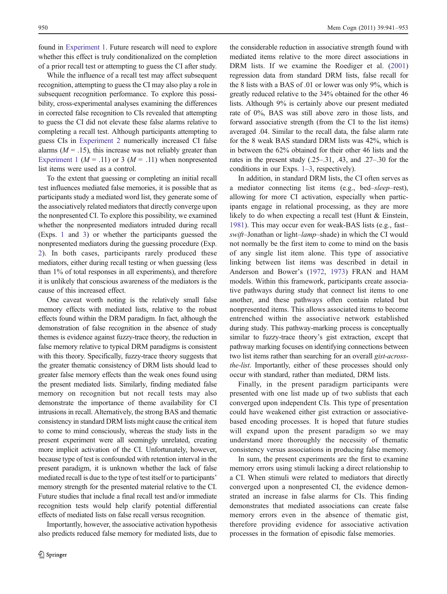found in [Experiment 1.](#page-2-0) Future research will need to explore whether this effect is truly conditionalized on the completion of a prior recall test or attempting to guess the CI after study.

While the influence of a recall test may affect subsequent recognition, attempting to guess the CI may also play a role in subsequent recognition performance. To explore this possibility, cross-experimental analyses examining the differences in corrected false recognition to CIs revealed that attempting to guess the CI did not elevate these false alarms relative to completing a recall test. Although participants attempting to guess CIs in [Experiment 2](#page-4-0) numerically increased CI false alarms ( $M = .15$ ), this increase was not reliably greater than [Experiment 1](#page-2-0) ( $M = .11$ ) or 3 ( $M = .11$ ) when nonpresented list items were used as a control.

To the extent that guessing or completing an initial recall test influences mediated false memories, it is possible that as participants study a mediated word list, they generate some of the associatively related mediators that directly converge upon the nonpresented CI. To explore this possibility, we examined whether the nonpresented mediators intruded during recall (Exps. [1](#page-2-0) and [3](#page-6-0)) or whether the participants guessed the nonpresented mediators during the guessing procedure (Exp. [2](#page-4-0)). In both cases, participants rarely produced these mediators, either during recall testing or when guessing (less than 1% of total responses in all experiments), and therefore it is unlikely that conscious awareness of the mediators is the cause of this increased effect.

One caveat worth noting is the relatively small false memory effects with mediated lists, relative to the robust effects found within the DRM paradigm. In fact, although the demonstration of false recognition in the absence of study themes is evidence against fuzzy-trace theory, the reduction in false memory relative to typical DRM paradigms is consistent with this theory. Specifically, fuzzy-trace theory suggests that the greater thematic consistency of DRM lists should lead to greater false memory effects than the weak ones found using the present mediated lists. Similarly, finding mediated false memory on recognition but not recall tests may also demonstrate the importance of theme availability for CI intrusions in recall. Alternatively, the strong BAS and thematic consistency in standard DRM lists might cause the critical item to come to mind consciously, whereas the study lists in the present experiment were all seemingly unrelated, creating more implicit activation of the CI. Unfortunately, however, because type of test is confounded with retention interval in the present paradigm, it is unknown whether the lack of false mediated recall is due to the type of test itself or to participants' memory strength for the presented material relative to the CI. Future studies that include a final recall test and/or immediate recognition tests would help clarify potential differential effects of mediated lists on false recall versus recognition.

Importantly, however, the associative activation hypothesis also predicts reduced false memory for mediated lists, due to

the considerable reduction in associative strength found with mediated items relative to the more direct associations in DRM lists. If we examine the Roediger et al. ([2001](#page-12-0)) regression data from standard DRM lists, false recall for the 8 lists with a BAS of .01 or lower was only 9%, which is greatly reduced relative to the 34% obtained for the other 46 lists. Although 9% is certainly above our present mediated rate of 0%, BAS was still above zero in those lists, and forward associative strength (from the CI to the list items) averaged .04. Similar to the recall data, the false alarm rate for the 8 weak BAS standard DRM lists was 42%, which is in between the 62% obtained for their other 46 lists and the rates in the present study (.25–.31, .43, and .27–.30 for the conditions in our Exps. [1](#page-2-0)–[3,](#page-6-0) respectively).

In addition, in standard DRM lists, the CI often serves as a mediator connecting list items (e.g., bed–sleep–rest), allowing for more CI activation, especially when participants engage in relational processing, as they are more likely to do when expecting a recall test (Hunt & Einstein, [1981](#page-12-0)). This may occur even for weak-BAS lists (e.g., fast– swift–Jonathan or light–lamp–shade) in which the CI would not normally be the first item to come to mind on the basis of any single list item alone. This type of associative linking between list items was described in detail in Anderson and Bower's [\(1972](#page-11-0), [1973](#page-11-0)) FRAN and HAM models. Within this framework, participants create associative pathways during study that connect list items to one another, and these pathways often contain related but nonpresented items. This allows associated items to become entrenched within the associative network established during study. This pathway-marking process is conceptually similar to fuzzy-trace theory's gist extraction, except that pathway marking focuses on identifying connections between two list items rather than searching for an overall gist-acrossthe-list. Importantly, either of these processes should only occur with standard, rather than mediated, DRM lists.

Finally, in the present paradigm participants were presented with one list made up of two sublists that each converged upon independent CIs. This type of presentation could have weakened either gist extraction or associativebased encoding processes. It is hoped that future studies will expand upon the present paradigm so we may understand more thoroughly the necessity of thematic consistency versus associations in producing false memory.

In sum, the present experiments are the first to examine memory errors using stimuli lacking a direct relationship to a CI. When stimuli were related to mediators that directly converged upon a nonpresented CI, the evidence demonstrated an increase in false alarms for CIs. This finding demonstrates that mediated associations can create false memory errors even in the absence of thematic gist, therefore providing evidence for associative activation processes in the formation of episodic false memories.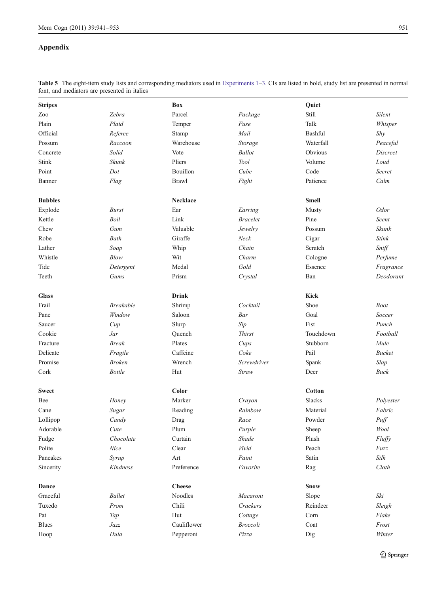# Appendix

|                | font, and mediators are presented in italics |                 |                 |               |                 |
|----------------|----------------------------------------------|-----------------|-----------------|---------------|-----------------|
| <b>Stripes</b> |                                              | Box             |                 | Quiet         |                 |
| Zoo            | Zebra                                        | Parcel          | Package         | Still         | Silent          |
| Plain          | Plaid                                        | Temper          | Fuse            | Talk          | Whisper         |
| Official       | Referee                                      | Stamp           | Mail            | Bashful       | Shy             |
| Possum         | Raccoon                                      | Warehouse       | Storage         | Waterfall     | Peaceful        |
| Concrete       | Solid                                        | Vote            | <b>Ballot</b>   | Obvious       | <b>Discreet</b> |
| <b>Stink</b>   | Skunk                                        | Pliers          | Tool            | Volume        | Loud            |
| Point          | Dot                                          | Bouillon        | Cube            | Code          | <b>Secret</b>   |
| Banner         | Flag                                         | <b>Brawl</b>    | Fight           | Patience      | Calm            |
| <b>Bubbles</b> |                                              | <b>Necklace</b> |                 | <b>Smell</b>  |                 |
| Explode        | <b>Burst</b>                                 | Ear             | Earring         | Musty         | <b>Odor</b>     |
| Kettle         | Boil                                         | Link            | <b>Bracelet</b> | Pine          | Scent           |
| Chew           | Gum                                          | Valuable        | Jewelry         | Possum        | Skunk           |
| Robe           | Bath                                         | Giraffe         | Neck            | Cigar         | <b>Stink</b>    |
| Lather         | Soap                                         | Whip            | Chain           | Scratch       | Sniff           |
| Whistle        | Blow                                         | Wit             | Charm           | Cologne       | Perfume         |
| Tide           | Detergent                                    | Medal           | Gold            | Essence       | Fragrance       |
| Teeth          | Gums                                         | Prism           | Crystal         | Ban           | Deodorant       |
| <b>Glass</b>   |                                              | <b>Drink</b>    |                 | <b>Kick</b>   |                 |
| Frail          | <b>Breakable</b>                             | Shrimp          | Cocktail        | Shoe          | <b>Boot</b>     |
| Pane           | Window                                       | Saloon          | Bar             | Goal          | Soccer          |
| Saucer         | Cup                                          | Slurp           | Sip             | Fist          | Punch           |
| Cookie         | Jar                                          | Quench          | <b>Thirst</b>   | Touchdown     | Football        |
| Fracture       | <b>Break</b>                                 | Plates          | Cups            | Stubborn      | Mule            |
| Delicate       | Fragile                                      | Caffeine        | Coke            | Pail          | <b>Bucket</b>   |
| Promise        | <b>Broken</b>                                | Wrench          | Screwdriver     | Spank         | Slap            |
| Cork           | <b>Bottle</b>                                | Hut             | Straw           | Deer          | <b>Buck</b>     |
| <b>Sweet</b>   |                                              | Color           |                 | <b>Cotton</b> |                 |
| Bee            | Honey                                        | Marker          | Crayon          | <b>Slacks</b> | Polyester       |
| Cane           | Sugar                                        | Reading         | Rainbow         | Material      | Fabric          |
| Lollipop       | Candy                                        | Drag            | Race            | Powder        | Puff            |
| Adorable       | Cute                                         | Plum            | Purple          | Sheep         | Wool            |
| Fudge          | Chocolate                                    | Curtain         | Shade           | Plush         | Fluffy          |
| Polite         | Nice                                         | Clear           | Vivid           | Peach         | $Fuzz$          |
| Pancakes       | Syrup                                        | Art             | Paint           | Satin         | Silk            |
| Sincerity      | Kindness                                     | Preference      | Favorite        | Rag           | Cloth           |
| Dance          |                                              | <b>Cheese</b>   |                 | Snow          |                 |
| Graceful       | <b>Ballet</b>                                | <b>Noodles</b>  | Macaroni        | Slope         | Ski             |
| Tuxedo         | Prom                                         | Chili           | Crackers        | Reindeer      | Sleigh          |
| Pat            | Tap                                          | Hut             | Cottage         | Corn          | Flake           |
| <b>Blues</b>   | Jazz                                         | Cauliflower     | <b>Broccoli</b> | Coat          | Frost           |
| Hoop           | Hula                                         | Pepperoni       | Pizza           | Dig           | Winter          |

Table 5 The eight-item study lists and corresponding mediators used in [Experiments 1](#page-2-0)–[3](#page-6-0). CIs are listed in bold, study list are presented in normal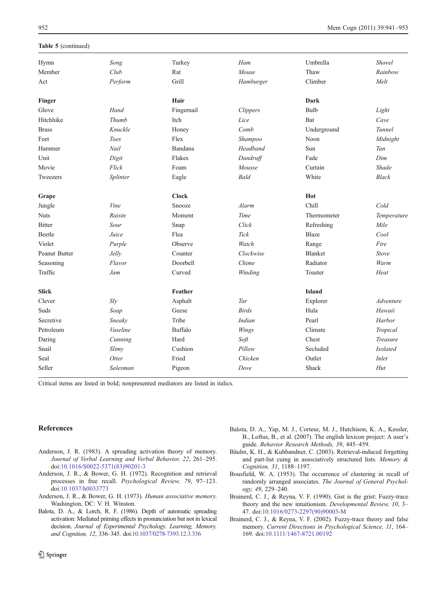# <span id="page-11-0"></span>Table 5 (continued)

| Hymn          | Song        | Turkey       | Ham             | Umbrella       | Shovel           |
|---------------|-------------|--------------|-----------------|----------------|------------------|
| Member        | Club        | Rat          | Mouse           | Thaw           | Rainbow          |
| Act           | Perform     | Grill        | Hamburger       | Climber        | Melt             |
| Finger        |             | Hair         |                 | <b>Dark</b>    |                  |
| Glove         | Hand        | Fingernail   | <b>Clippers</b> | Bulb           | Light            |
| Hitchhike     | Thumb       | Itch         | Lice            | Bat            | Cave             |
| <b>Brass</b>  | Knuckle     | Honey        | Comb            | Underground    | Tunnel           |
| Feet          | <b>Toes</b> | Flex         | Shampoo         | Noon           | Midnight         |
| Hammer        | Nail        | Bandana      | Headband        | Sun            | Tan              |
| Unit          | Digit       | Flakes       | Dandruff        | Fade           | Dim              |
| Movie         | Flick       | Foam         | Mousse          | Curtain        | <b>Shade</b>     |
| Tweezers      | Splinter    | Eagle        | <b>Bald</b>     | White          | <b>Black</b>     |
| Grape         |             | <b>Clock</b> |                 | Hot            |                  |
| Jungle        | Vine        | Snooze       | Alarm           | Chill          | Cold             |
| <b>Nuts</b>   | Raisin      | Moment       | Time            | Thermometer    | Temperature      |
| <b>Bitter</b> | Sour        | Snap         | Click           | Refreshing     | Mile             |
| <b>Beetle</b> | Juice       | Flea         | <b>Tick</b>     | <b>Blaze</b>   | Cool             |
| Violet        | Purple      | Observe      | Watch           | Range          | Fire             |
| Peanut Butter | Jelly       | Counter      | Clockwise       | <b>Blanket</b> | <b>Stove</b>     |
| Seasoning     | Flavor      | Doorbell     | Chime           | Radiator       | Warm             |
| Traffic       | Jam         | Curved       | Winding         | Toaster        | Heat             |
| <b>Slick</b>  |             | Feather      |                 | <b>Island</b>  |                  |
| Clever        | Sly         | Asphalt      | Tar             | Explorer       | <i>Adventure</i> |
| Suds          | Soap        | Geese        | <b>Birds</b>    | Hula           | Hawaii           |
| Secretive     | Sneaky      | Tribe        | Indian          | Pearl          | Harbor           |
| Petroleum     | Vaseline    | Buffalo      | Wings           | Climate        | Tropical         |
| Daring        | Cunning     | Hard         | Soft            | Chest          | Treasure         |
| Snail         | Slimy       | Cushion      | Pillow          | Secluded       | <b>Isolated</b>  |
| Seal          | Otter       | Fried        | Chicken         | Outlet         | Inlet            |
| Seller        | Salesman    | Pigeon       | Dove            | Shack          | Hut              |

Critical items are listed in bold; nonpresented mediators are listed in italics.

#### References

- Anderson, J. R. (1983). A spreading activation theory of memory. Journal of Verbal Learning and Verbal Behavior, 22, 261–295. doi[:10.1016/S0022-5371\(83\)90201-3](http://dx.doi.org/10.1016/S0022-5371(83)90201-3)
- Anderson, J. R., & Bower, G. H. (1972). Recognition and retrieval processes in free recall. Psychological Review, 79, 97–123. doi[:10.1037/h0033773](http://dx.doi.org/10.1037/h0033773)
- Anderson, J. R., & Bower, G. H. (1973). Human associative memory. Washington, DC: V. H. Winston.
- Balota, D. A., & Lorch, R. F. (1986). Depth of automatic spreading activation: Mediated priming effects in pronunciation but not in lexical decision. Journal of Experimental Psychology. Learning, Memory, and Cognition, 12, 336–345. doi[:10.1037/0278-7393.12.3.336](http://dx.doi.org/10.1037/0278-7393.12.3.336)
- Balota, D. A., Yap, M. J., Cortese, M. J., Hutchison, K. A., Kessler, B., Loftus, B., et al. (2007). The english lexicon project: A user's guide. Behavior Research Methods, 39, 445–459.
- Bäulm, K. H., & Kuhbandner, C. (2003). Retrieval-induced forgetting and part-list cuing in associatively structured lists. Memory & Cognition, 31, 1188–1197.
- Bousfield, W. A. (1953). The occurrence of clustering in recall of randomly arranged associates. The Journal of General Psychology, 49, 229–240.
- Brainerd, C. J., & Reyna, V. F. (1990). Gist is the grist: Fuzzy-trace theory and the new intuitionism. Developmental Review, 10, 3– 47. doi:[10.1016/0273-2297\(90\)90003-M](http://dx.doi.org/10.1016/0273-2297(90)90003-M)
- Brainerd, C. J., & Reyna, V. F. (2002). Fuzzy-trace theory and false memory. Current Directions in Psychological Science, 11, 164– 169. doi:[10.1111/1467-8721.00192](http://dx.doi.org/10.1111/1467-8721.00192)